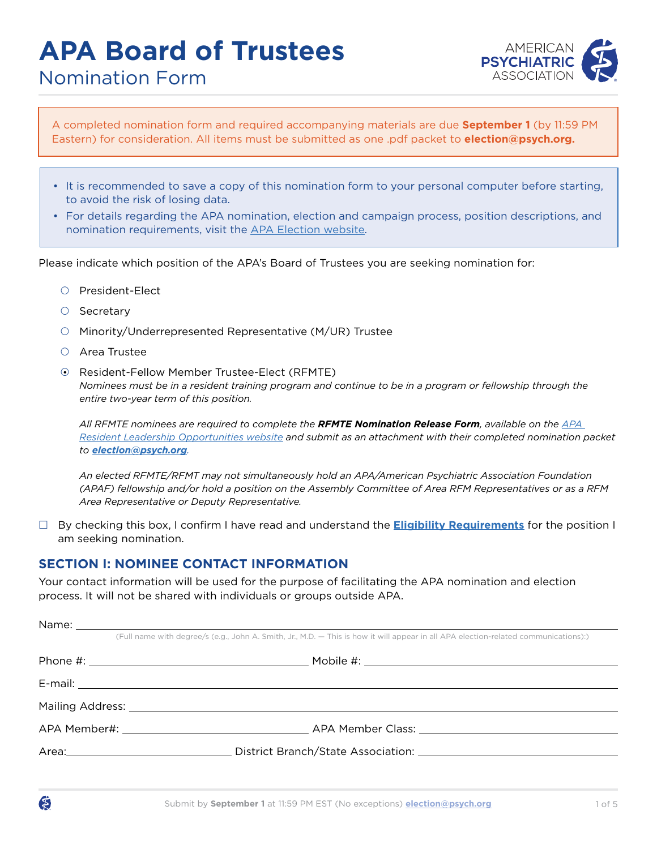# **APA Board of Trustees**



Nomination Form

A completed nomination form and required accompanying materials are due **September 1** (by 11:59 PM Eastern) for consideration. All items must be submitted as one .pdf packet to **election@psych.org.**

- It is recommended to save a copy of this nomination form to your personal computer before starting, to avoid the risk of losing data.
- For details regarding the APA nomination, election and campaign process, position descriptions, and nomination requirements, visit the [APA Election website.](www.psychiatry.org/election)

Please indicate which position of the APA's Board of Trustees you are seeking nomination for:

- O President-Elect
- $\circ$  Secretary
- { Minority/Underrepresented Representative (M/UR) Trustee
- ${O}$  Area Trustee
- { Resident-Fellow Member Trustee-Elect (RFMTE) *Nominees must be in a resident training program and continue to be in a program or fellowship through the entire two-year term of this position.*

*All RFMTE nominees are required to complete the RFMTE Nomination Release Form, available on the [APA](https://www.psychiatry.org/residents-medical-students/residents/leadership-positions)  [Resident Leadership Opportunities website](https://www.psychiatry.org/residents-medical-students/residents/leadership-positions) and submit as an attachment with their completed nomination packet to [election@psych.org](mailto:election@psych.org).* 

*An elected RFMTE/RFMT may not simultaneously hold an APA/American Psychiatric Association Foundation (APAF) fellowship and/or hold a position on the Assembly Committee of Area RFM Representatives or as a RFM Area Representative or Deputy Representative.*

 By checking this box, I confirm I have read and understand the **[Eligibility Requirements](https://www.psychiatry.org/psychiatrists/awards-leadership-opportunities/leadership-opportunities/elections/election-eligibility)** for the position I am seeking nomination.

#### **SECTION I: NOMINEE CONTACT INFORMATION**

Your contact information will be used for the purpose of facilitating the APA nomination and election process. It will not be shared with individuals or groups outside APA.

| (Full name with degree/s (e.g., John A. Smith, Jr., M.D. - This is how it will appear in all APA election-related communications):) |                                                                                               |  |  |  |
|-------------------------------------------------------------------------------------------------------------------------------------|-----------------------------------------------------------------------------------------------|--|--|--|
|                                                                                                                                     |                                                                                               |  |  |  |
|                                                                                                                                     |                                                                                               |  |  |  |
|                                                                                                                                     |                                                                                               |  |  |  |
|                                                                                                                                     | APA Member#: APA Member Class: APA Member Class:                                              |  |  |  |
|                                                                                                                                     | Area: Contract District Branch/State Association: Contract District Branch/State Association: |  |  |  |
|                                                                                                                                     |                                                                                               |  |  |  |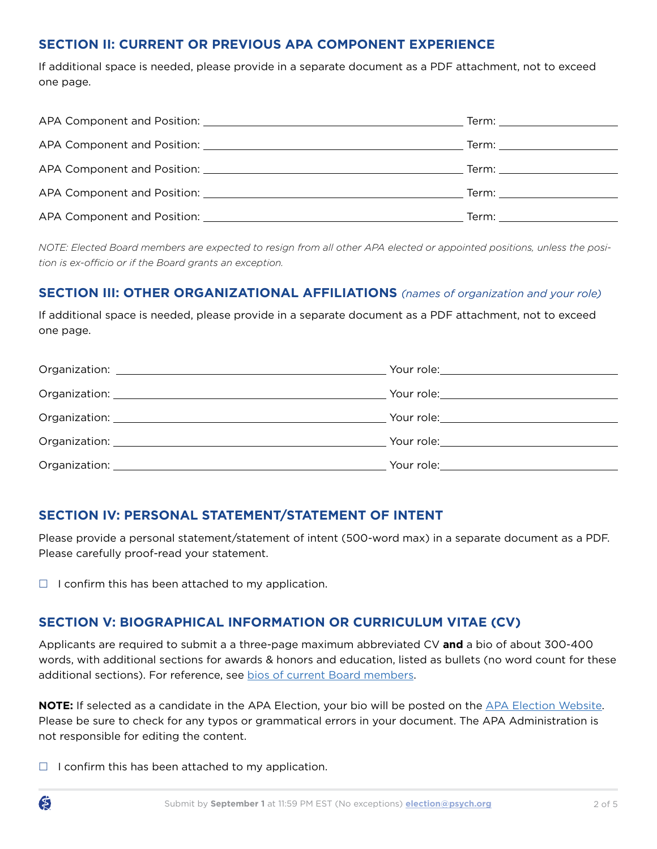# **SECTION II: CURRENT OR PREVIOUS APA COMPONENT EXPERIENCE**

If additional space is needed, please provide in a separate document as a PDF attachment, not to exceed one page.

|                                                                                                                                                                                                                               | Term: _______________________                                                                                                                                                                                                 |
|-------------------------------------------------------------------------------------------------------------------------------------------------------------------------------------------------------------------------------|-------------------------------------------------------------------------------------------------------------------------------------------------------------------------------------------------------------------------------|
|                                                                                                                                                                                                                               | Term: ________________________                                                                                                                                                                                                |
|                                                                                                                                                                                                                               | Term: _______________________                                                                                                                                                                                                 |
| APA Component and Position: And Apple and Apple and Apple and Apple and Apple and Apple and Apple and Apple and Apple and Apple and Apple and Apple and Apple and Apple and Apple and Apple and Apple and Apple and Apple and | Term: will be a series of the series of the series of the series of the series of the series of the series of the series of the series of the series of the series of the series of the series of the series of the series of |
|                                                                                                                                                                                                                               | Term: with the contract of the contract of the contract of the contract of the contract of the contract of the                                                                                                                |

*NOTE: Elected Board members are expected to resign from all other APA elected or appointed positions, unless the position is ex-officio or if the Board grants an exception.*

# **SECTION III: OTHER ORGANIZATIONAL AFFILIATIONS** *(names of organization and your role)*

If additional space is needed, please provide in a separate document as a PDF attachment, not to exceed one page.

| Organization: National Contract of Contract of Contract of Contract of Contract of Contract of Contract of Contract of Contract of Contract of Contract of Contract of Contract of Contract of Contract of Contract of Contrac |                                               |
|--------------------------------------------------------------------------------------------------------------------------------------------------------------------------------------------------------------------------------|-----------------------------------------------|
|                                                                                                                                                                                                                                |                                               |
|                                                                                                                                                                                                                                | Your role:___________________________________ |

# **SECTION IV: PERSONAL STATEMENT/STATEMENT OF INTENT**

Please provide a personal statement/statement of intent (500-word max) in a separate document as a PDF. Please carefully proof-read your statement.

 $\Box$  I confirm this has been attached to my application.

# **SECTION V: BIOGRAPHICAL INFORMATION OR CURRICULUM VITAE (CV)**

Applicants are required to submit a a three-page maximum abbreviated CV **and** a bio of about 300-400 words, with additional sections for awards & honors and education, listed as bullets (no word count for these additional sections). For reference, see [bios of current Board members.](https://www.psychiatry.org/about-apa/meet-our-organization/board-of-trustees)

**NOTE:** If selected as a candidate in the APA Election, your bio will be posted on the [APA Election Website](http://www.psychiatry.org/election). Please be sure to check for any typos or grammatical errors in your document. The APA Administration is not responsible for editing the content.

 $\Box$  I confirm this has been attached to my application.

Ő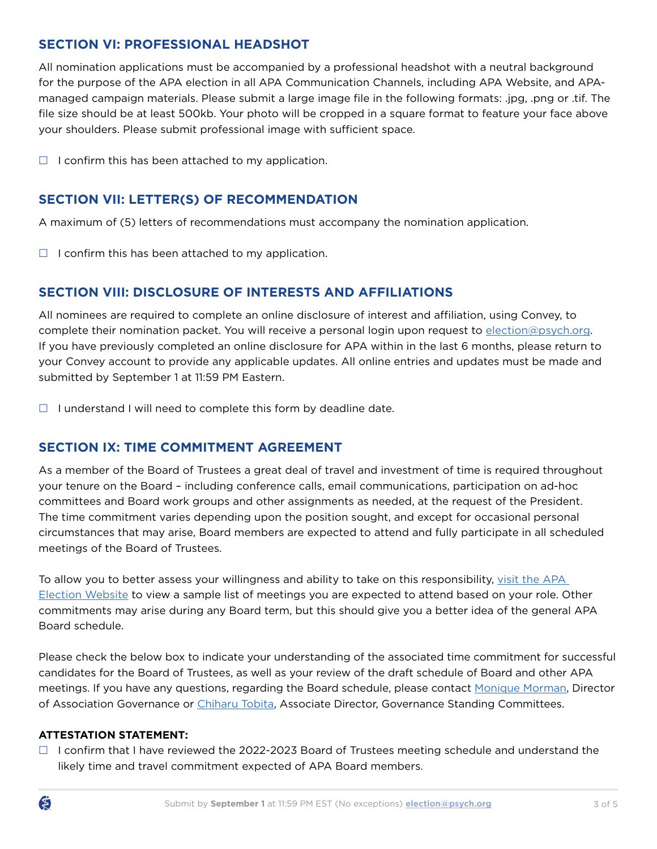# **SECTION VI: PROFESSIONAL HEADSHOT**

All nomination applications must be accompanied by a professional headshot with a neutral background for the purpose of the APA election in all APA Communication Channels, including APA Website, and APAmanaged campaign materials. Please submit a large image file in the following formats: .jpg, .png or .tif. The file size should be at least 500kb. Your photo will be cropped in a square format to feature your face above your shoulders. Please submit professional image with sufficient space.

 $\Box$  I confirm this has been attached to my application.

# **SECTION VII: LETTER(S) OF RECOMMENDATION**

A maximum of (5) letters of recommendations must accompany the nomination application.

 $\Box$  I confirm this has been attached to my application.

# **SECTION VIII: DISCLOSURE OF INTERESTS AND AFFILIATIONS**

All nominees are required to complete an online disclosure of interest and affiliation, using Convey, to complete their nomination packet. You will receive a personal login upon request to [election@psych.org](mailto:election@psych.org). If you have previously completed an online disclosure for APA within in the last 6 months, please return to your Convey account to provide any applicable updates. All online entries and updates must be made and submitted by September 1 at 11:59 PM Eastern.

 $\Box$  I understand I will need to complete this form by deadline date.

#### **SECTION IX: TIME COMMITMENT AGREEMENT**

As a member of the Board of Trustees a great deal of travel and investment of time is required throughout your tenure on the Board – including conference calls, email communications, participation on ad-hoc committees and Board work groups and other assignments as needed, at the request of the President. The time commitment varies depending upon the position sought, and except for occasional personal circumstances that may arise, Board members are expected to attend and fully participate in all scheduled meetings of the Board of Trustees.

To allow you to better assess your willingness and ability to take on this responsibility, [visit the APA](https://www.psychiatry.org/psychiatrists/awards-leadership-opportunities/leadership-opportunities/elections)  [Election Website](https://www.psychiatry.org/psychiatrists/awards-leadership-opportunities/leadership-opportunities/elections) to view a sample list of meetings you are expected to attend based on your role. Other commitments may arise during any Board term, but this should give you a better idea of the general APA Board schedule.

Please check the below box to indicate your understanding of the associated time commitment for successful candidates for the Board of Trustees, as well as your review of the draft schedule of Board and other APA meetings. If you have any questions, regarding the Board schedule, please contact [Monique Morman](mailto:mmorman@psych.org), Director of Association Governance or [Chiharu Tobita](mailto:ctobita@psych.org), Associate Director, Governance Standing Committees.

#### **ATTESTATION STATEMENT:**

 $\Box$  I confirm that I have reviewed the 2022-2023 Board of Trustees meeting schedule and understand the likely time and travel commitment expected of APA Board members.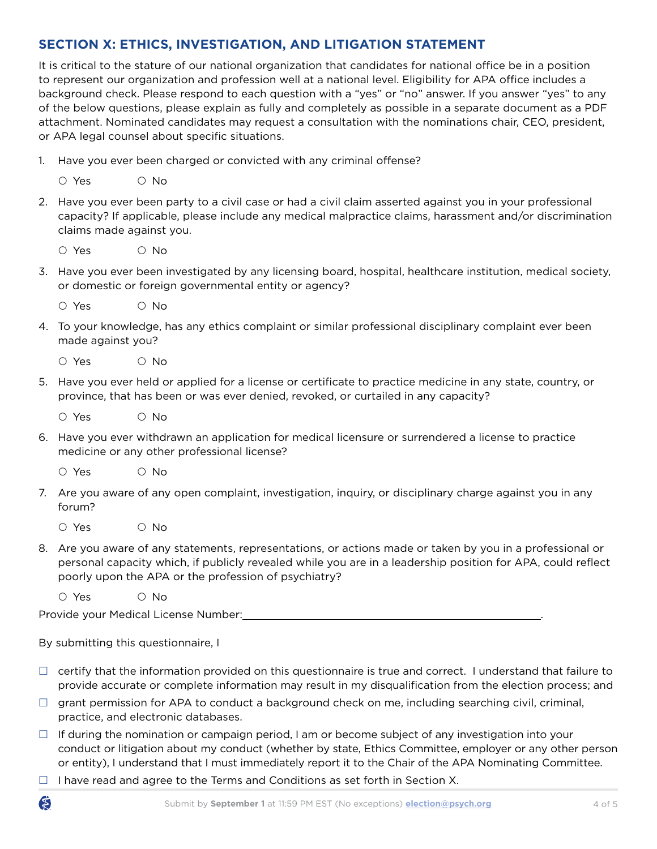# **SECTION X: ETHICS, INVESTIGATION, AND LITIGATION STATEMENT**

It is critical to the stature of our national organization that candidates for national office be in a position to represent our organization and profession well at a national level. Eligibility for APA office includes a background check. Please respond to each question with a "yes" or "no" answer. If you answer "yes" to any of the below questions, please explain as fully and completely as possible in a separate document as a PDF attachment. Nominated candidates may request a consultation with the nominations chair, CEO, president, or APA legal counsel about specific situations.

1. Have you ever been charged or convicted with any criminal offense?

| O Yes | $\circ$ No |
|-------|------------|
|       |            |

- 2. Have you ever been party to a civil case or had a civil claim asserted against you in your professional capacity? If applicable, please include any medical malpractice claims, harassment and/or discrimination claims made against you.
	- O Yes O No
- 3. Have you ever been investigated by any licensing board, hospital, healthcare institution, medical society, or domestic or foreign governmental entity or agency?
	- O Yes O No
- 4. To your knowledge, has any ethics complaint or similar professional disciplinary complaint ever been made against you?
	- O Yes O No
- 5. Have you ever held or applied for a license or certificate to practice medicine in any state, country, or province, that has been or was ever denied, revoked, or curtailed in any capacity?
	- $O$  Yes  $O$  No.
- 6. Have you ever withdrawn an application for medical licensure or surrendered a license to practice medicine or any other professional license?
	- O Yes O No
- 7. Are you aware of any open complaint, investigation, inquiry, or disciplinary charge against you in any forum?
	- $O$  Yes  $O$  No.
- 8. Are you aware of any statements, representations, or actions made or taken by you in a professional or personal capacity which, if publicly revealed while you are in a leadership position for APA, could reflect poorly upon the APA or the profession of psychiatry?

O Yes O No

Ő

Provide your Medical License Number: .

By submitting this questionnaire, I

- $\Box$  certify that the information provided on this questionnaire is true and correct. I understand that failure to provide accurate or complete information may result in my disqualification from the election process; and
- $\Box$  grant permission for APA to conduct a background check on me, including searching civil, criminal, practice, and electronic databases.
- $\Box$  If during the nomination or campaign period, I am or become subject of any investigation into your conduct or litigation about my conduct (whether by state, Ethics Committee, employer or any other person or entity), I understand that I must immediately report it to the Chair of the APA Nominating Committee.
- $\Box$  I have read and agree to the Terms and Conditions as set forth in Section X.